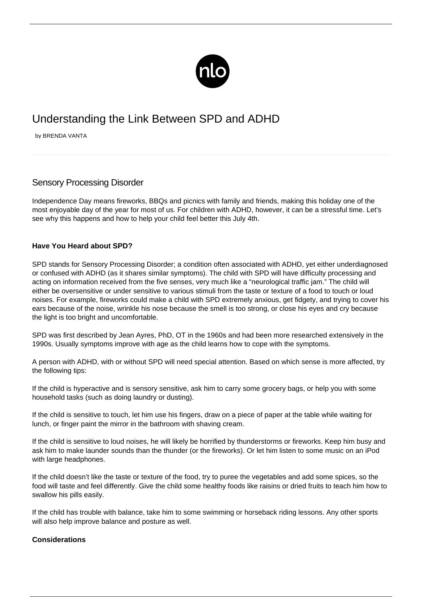

## Understanding the Link Between SPD and ADHD

by BRENDA VANTA

## Sensory Processing Disorder

Independence Day means fireworks, BBQs and picnics with family and friends, making this holiday one of the most enjoyable day of the year for most of us. For children with ADHD, however, it can be a stressful time. Let's see why this happens and how to help your child feel better this July 4th.

## **Have You Heard about SPD?**

SPD stands for Sensory Processing Disorder; a condition often associated with ADHD, yet either underdiagnosed or confused with ADHD (as it shares similar symptoms). The child with SPD will have difficulty processing and acting on information received from the five senses, very much like a "neurological traffic jam." The child will either be oversensitive or under sensitive to various stimuli from the taste or texture of a food to touch or loud noises. For example, fireworks could make a child with SPD extremely anxious, get fidgety, and trying to cover his ears because of the noise, wrinkle his nose because the smell is too strong, or close his eyes and cry because the light is too bright and uncomfortable.

SPD was first described by Jean Ayres, PhD, OT in the 1960s and had been more researched extensively in the 1990s. Usually symptoms improve with age as the child learns how to cope with the symptoms.

A person with ADHD, with or without SPD will need special attention. Based on which sense is more affected, try the following tips:

If the child is hyperactive and is sensory sensitive, ask him to carry some grocery bags, or help you with some household tasks (such as doing laundry or dusting).

If the child is sensitive to touch, let him use his fingers, draw on a piece of paper at the table while waiting for lunch, or finger paint the mirror in the bathroom with shaving cream.

If the child is sensitive to loud noises, he will likely be horrified by thunderstorms or fireworks. Keep him busy and ask him to make launder sounds than the thunder (or the fireworks). Or let him listen to some music on an iPod with large headphones.

If the child doesn't like the taste or texture of the food, try to puree the vegetables and add some spices, so the food will taste and feel differently. Give the child some [healthy foods](http://dm2.newlifeoutlook.com/nutrition-and-type-2-diabetes/) like raisins or dried fruits to teach him how to swallow his pills easily.

If the child has trouble with balance, take him to some swimming or horseback riding lessons. Any other sports will also help improve balance and posture as well.

## **Considerations**